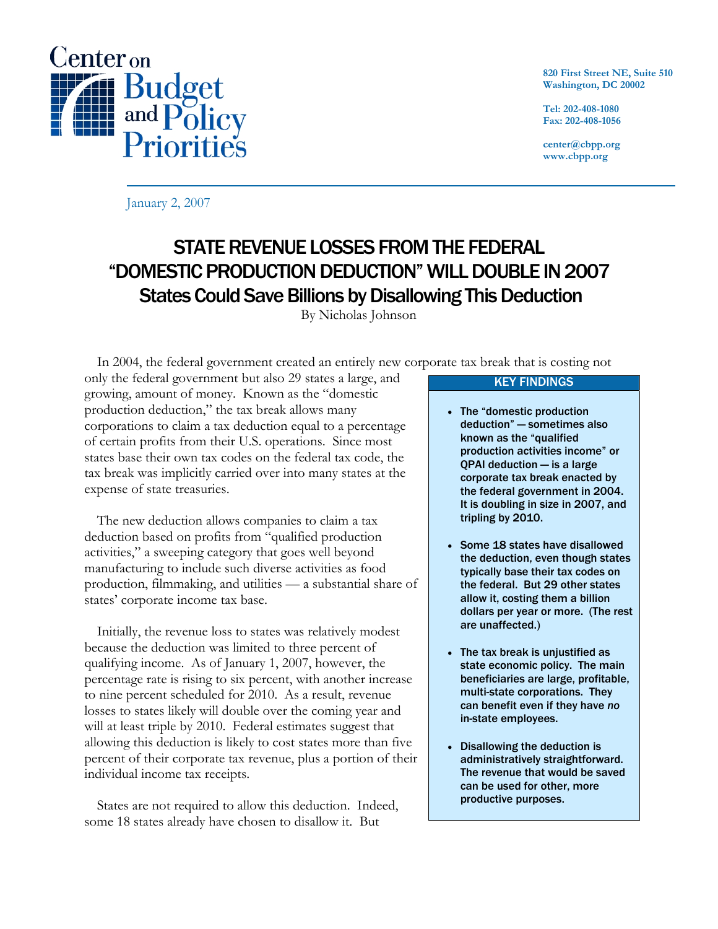

**820 First Street NE, Suite 510 Washington, DC 20002** 

**Tel: 202-408-1080 Fax: 202-408-1056** 

**center@cbpp.org www.cbpp.org** 

January 2, 2007

# STATE REVENUE LOSSES FROM THE FEDERAL "DOMESTIC PRODUCTION DEDUCTION" WILL DOUBLE IN 2007 States Could Save Billions by Disallowing This Deduction

By Nicholas Johnson

In 2004, the federal government created an entirely new corporate tax break that is costing not

only the federal government but also 29 states a large, and growing, amount of money. Known as the "domestic production deduction," the tax break allows many corporations to claim a tax deduction equal to a percentage of certain profits from their U.S. operations. Since most states base their own tax codes on the federal tax code, the tax break was implicitly carried over into many states at the expense of state treasuries.

 The new deduction allows companies to claim a tax deduction based on profits from "qualified production activities," a sweeping category that goes well beyond manufacturing to include such diverse activities as food production, filmmaking, and utilities — a substantial share of states' corporate income tax base.

 Initially, the revenue loss to states was relatively modest because the deduction was limited to three percent of qualifying income. As of January 1, 2007, however, the percentage rate is rising to six percent, with another increase to nine percent scheduled for 2010. As a result, revenue losses to states likely will double over the coming year and will at least triple by 2010. Federal estimates suggest that allowing this deduction is likely to cost states more than five percent of their corporate tax revenue, plus a portion of their individual income tax receipts.

 States are not required to allow this deduction. Indeed, some 18 states already have chosen to disallow it. But

#### KEY FINDINGS

- The "domestic production deduction" — sometimes also known as the "qualified production activities income" or QPAI deduction — is a large corporate tax break enacted by the federal government in 2004. It is doubling in size in 2007, and tripling by 2010.
- Some 18 states have disallowed the deduction, even though states typically base their tax codes on the federal. But 29 other states allow it, costing them a billion dollars per year or more. (The rest are unaffected.)
- The tax break is unjustified as state economic policy. The main beneficiaries are large, profitable, multi-state corporations. They can benefit even if they have *no* in-state employees.
- Disallowing the deduction is administratively straightforward. The revenue that would be saved can be used for other, more productive purposes.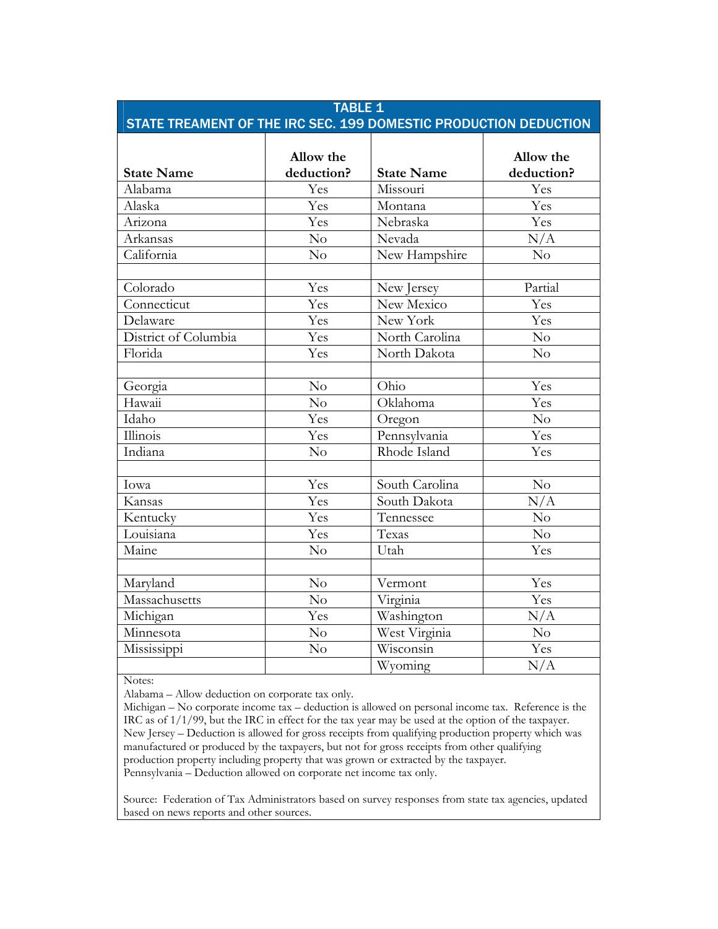| <b>TABLE 1</b><br>STATE TREAMENT OF THE IRC SEC. 199 DOMESTIC PRODUCTION DEDUCTION |                         |                   |                         |  |  |  |
|------------------------------------------------------------------------------------|-------------------------|-------------------|-------------------------|--|--|--|
| <b>State Name</b>                                                                  | Allow the<br>deduction? | <b>State Name</b> | Allow the<br>deduction? |  |  |  |
| Alabama                                                                            | Yes                     | Missouri          | Yes                     |  |  |  |
| Alaska                                                                             | Yes                     | Montana           | Yes                     |  |  |  |
| Arizona                                                                            | Yes                     | Nebraska          | Yes                     |  |  |  |
| Arkansas                                                                           | No                      | Nevada            | N/A                     |  |  |  |
| California                                                                         | No                      | New Hampshire     | $\overline{No}$         |  |  |  |
| Colorado                                                                           | Yes                     | New Jersey        | Partial                 |  |  |  |
| Connecticut                                                                        | Yes                     | New Mexico        | Yes                     |  |  |  |
| Delaware                                                                           | Yes                     | New York          | Yes                     |  |  |  |
| District of Columbia                                                               | Yes                     | North Carolina    | No                      |  |  |  |
| Florida                                                                            | Yes                     | North Dakota      | $\overline{N}$          |  |  |  |
| Georgia                                                                            | $\overline{\text{No}}$  | Ohio              | Yes                     |  |  |  |
| Hawaii                                                                             | No                      | Oklahoma          | Yes                     |  |  |  |
| Idaho                                                                              | Yes                     | Oregon            | No                      |  |  |  |
| Illinois                                                                           | Yes                     | Pennsylvania      | Yes                     |  |  |  |
| Indiana                                                                            | $\overline{N}$          | Rhode Island      | Yes                     |  |  |  |
| Iowa                                                                               | Yes                     | South Carolina    | No                      |  |  |  |
| Kansas                                                                             | Yes                     | South Dakota      | N/A                     |  |  |  |
| Kentucky                                                                           | Yes                     | Tennessee         | $\overline{No}$         |  |  |  |
| Louisiana                                                                          | Yes                     | Texas             | No                      |  |  |  |
| Maine                                                                              | No                      | Utah              | Yes                     |  |  |  |
|                                                                                    |                         |                   |                         |  |  |  |
| Maryland                                                                           | $\overline{\text{No}}$  | Vermont           | Yes                     |  |  |  |
| Massachusetts                                                                      | No                      | Virginia          | Yes                     |  |  |  |
| Michigan                                                                           | Yes                     | Washington        | N/A                     |  |  |  |
| Minnesota                                                                          | No                      | West Virginia     | $\overline{No}$         |  |  |  |
| Mississippi                                                                        | N <sub>o</sub>          | Wisconsin         | Yes                     |  |  |  |
|                                                                                    |                         | Wyoming           | N/A                     |  |  |  |

Notes:

Alabama – Allow deduction on corporate tax only.

Michigan – No corporate income tax – deduction is allowed on personal income tax. Reference is the IRC as of 1/1/99, but the IRC in effect for the tax year may be used at the option of the taxpayer. New Jersey – Deduction is allowed for gross receipts from qualifying production property which was manufactured or produced by the taxpayers, but not for gross receipts from other qualifying production property including property that was grown or extracted by the taxpayer. Pennsylvania – Deduction allowed on corporate net income tax only.

Source: Federation of Tax Administrators based on survey responses from state tax agencies, updated based on news reports and other sources.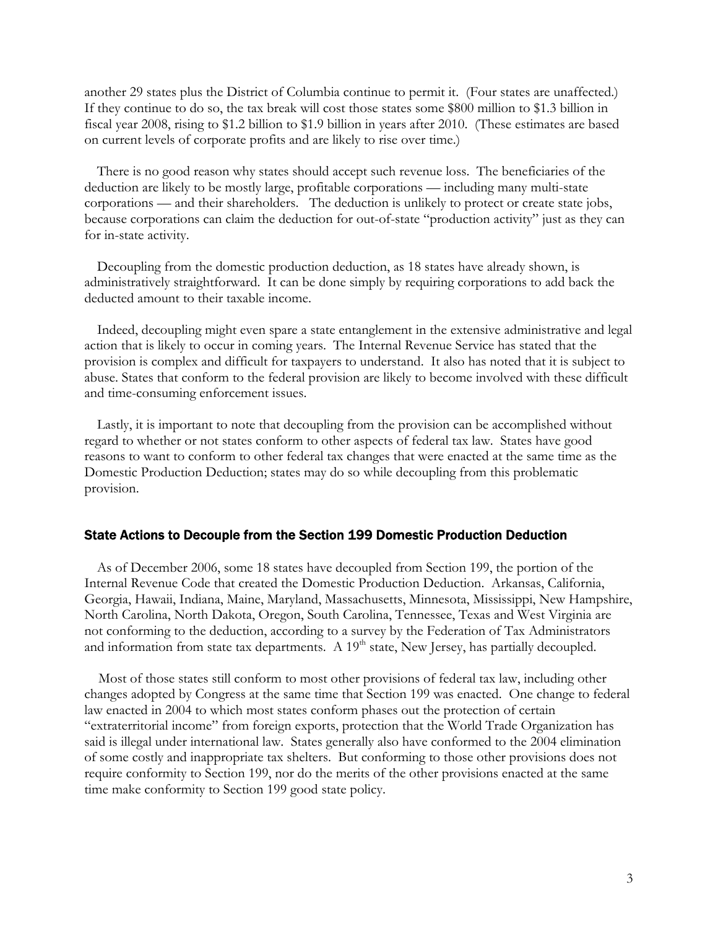another 29 states plus the District of Columbia continue to permit it. (Four states are unaffected.) If they continue to do so, the tax break will cost those states some \$800 million to \$1.3 billion in fiscal year 2008, rising to \$1.2 billion to \$1.9 billion in years after 2010. (These estimates are based on current levels of corporate profits and are likely to rise over time.)

 There is no good reason why states should accept such revenue loss. The beneficiaries of the deduction are likely to be mostly large, profitable corporations — including many multi-state corporations — and their shareholders. The deduction is unlikely to protect or create state jobs, because corporations can claim the deduction for out-of-state "production activity" just as they can for in-state activity.

 Decoupling from the domestic production deduction, as 18 states have already shown, is administratively straightforward. It can be done simply by requiring corporations to add back the deducted amount to their taxable income.

 Indeed, decoupling might even spare a state entanglement in the extensive administrative and legal action that is likely to occur in coming years. The Internal Revenue Service has stated that the provision is complex and difficult for taxpayers to understand. It also has noted that it is subject to abuse. States that conform to the federal provision are likely to become involved with these difficult and time-consuming enforcement issues.

 Lastly, it is important to note that decoupling from the provision can be accomplished without regard to whether or not states conform to other aspects of federal tax law. States have good reasons to want to conform to other federal tax changes that were enacted at the same time as the Domestic Production Deduction; states may do so while decoupling from this problematic provision.

#### State Actions to Decouple from the Section 199 Domestic Production Deduction

 As of December 2006, some 18 states have decoupled from Section 199, the portion of the Internal Revenue Code that created the Domestic Production Deduction. Arkansas, California, Georgia, Hawaii, Indiana, Maine, Maryland, Massachusetts, Minnesota, Mississippi, New Hampshire, North Carolina, North Dakota, Oregon, South Carolina, Tennessee, Texas and West Virginia are not conforming to the deduction, according to a survey by the Federation of Tax Administrators and information from state tax departments. A  $19<sup>th</sup>$  state, New Jersey, has partially decoupled.

 Most of those states still conform to most other provisions of federal tax law, including other changes adopted by Congress at the same time that Section 199 was enacted. One change to federal law enacted in 2004 to which most states conform phases out the protection of certain "extraterritorial income" from foreign exports, protection that the World Trade Organization has said is illegal under international law. States generally also have conformed to the 2004 elimination of some costly and inappropriate tax shelters. But conforming to those other provisions does not require conformity to Section 199, nor do the merits of the other provisions enacted at the same time make conformity to Section 199 good state policy.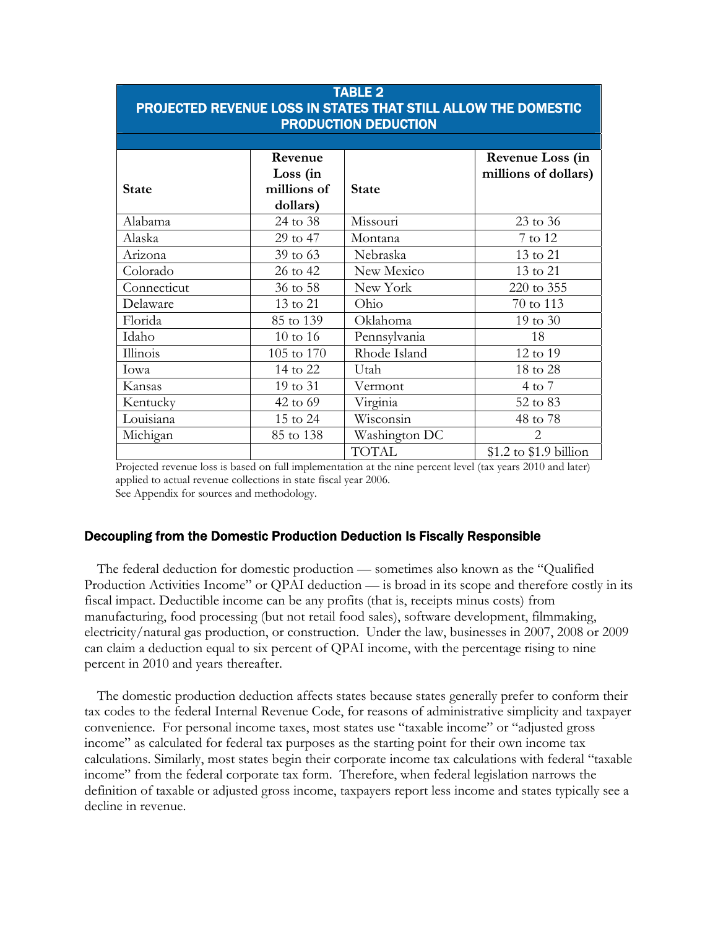| <b>TABLE 2</b><br>PROJECTED REVENUE LOSS IN STATES THAT STILL ALLOW THE DOMESTIC<br><b>PRODUCTION DEDUCTION</b> |             |               |                        |  |  |  |
|-----------------------------------------------------------------------------------------------------------------|-------------|---------------|------------------------|--|--|--|
|                                                                                                                 |             |               |                        |  |  |  |
|                                                                                                                 | Revenue     |               | Revenue Loss (in       |  |  |  |
|                                                                                                                 | Loss (in    |               | millions of dollars)   |  |  |  |
| <b>State</b>                                                                                                    | millions of | <b>State</b>  |                        |  |  |  |
|                                                                                                                 | dollars)    |               |                        |  |  |  |
| Alabama                                                                                                         | 24 to 38    | Missouri      | 23 to 36               |  |  |  |
| Alaska                                                                                                          | 29 to 47    | Montana       | 7 to 12                |  |  |  |
| Arizona                                                                                                         | 39 to 63    | Nebraska      | 13 to 21               |  |  |  |
| Colorado                                                                                                        | 26 to 42    | New Mexico    | 13 to 21               |  |  |  |
| Connecticut                                                                                                     | 36 to 58    | New York      | 220 to 355             |  |  |  |
| Delaware                                                                                                        | 13 to 21    | Ohio          | 70 to 113              |  |  |  |
| Florida                                                                                                         | 85 to 139   | Oklahoma      | 19 to 30               |  |  |  |
| Idaho                                                                                                           | 10 to 16    | Pennsylvania  | 18                     |  |  |  |
| Illinois                                                                                                        | 105 to 170  | Rhode Island  | 12 to 19               |  |  |  |
| Iowa                                                                                                            | 14 to 22    | Utah          | 18 to 28               |  |  |  |
| Kansas                                                                                                          | 19 to 31    | Vermont       | $4$ to $7$             |  |  |  |
| Kentucky                                                                                                        | 42 to 69    | Virginia      | 52 to 83               |  |  |  |
| Louisiana                                                                                                       | 15 to 24    | Wisconsin     | 48 to 78               |  |  |  |
| Michigan                                                                                                        | 85 to 138   | Washington DC | $\overline{2}$         |  |  |  |
|                                                                                                                 |             | TOTAL         | \$1.2 to \$1.9 billion |  |  |  |

Projected revenue loss is based on full implementation at the nine percent level (tax years 2010 and later) applied to actual revenue collections in state fiscal year 2006. See Appendix for sources and methodology.

### Decoupling from the Domestic Production Deduction Is Fiscally Responsible

The federal deduction for domestic production — sometimes also known as the "Qualified Production Activities Income" or QPAI deduction — is broad in its scope and therefore costly in its fiscal impact. Deductible income can be any profits (that is, receipts minus costs) from manufacturing, food processing (but not retail food sales), software development, filmmaking, electricity/natural gas production, or construction. Under the law, businesses in 2007, 2008 or 2009 can claim a deduction equal to six percent of QPAI income, with the percentage rising to nine percent in 2010 and years thereafter.

The domestic production deduction affects states because states generally prefer to conform their tax codes to the federal Internal Revenue Code, for reasons of administrative simplicity and taxpayer convenience. For personal income taxes, most states use "taxable income" or "adjusted gross income" as calculated for federal tax purposes as the starting point for their own income tax calculations. Similarly, most states begin their corporate income tax calculations with federal "taxable income" from the federal corporate tax form. Therefore, when federal legislation narrows the definition of taxable or adjusted gross income, taxpayers report less income and states typically see a decline in revenue.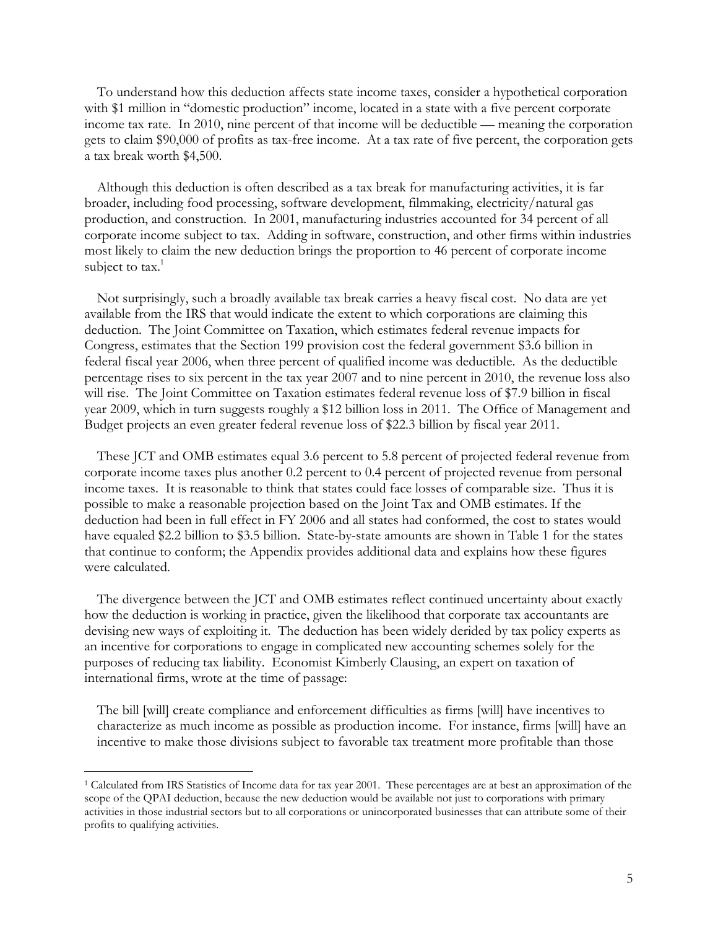To understand how this deduction affects state income taxes, consider a hypothetical corporation with \$1 million in "domestic production" income, located in a state with a five percent corporate income tax rate. In 2010, nine percent of that income will be deductible — meaning the corporation gets to claim \$90,000 of profits as tax-free income. At a tax rate of five percent, the corporation gets a tax break worth \$4,500.

Although this deduction is often described as a tax break for manufacturing activities, it is far broader, including food processing, software development, filmmaking, electricity/natural gas production, and construction. In 2001, manufacturing industries accounted for 34 percent of all corporate income subject to tax. Adding in software, construction, and other firms within industries most likely to claim the new deduction brings the proportion to 46 percent of corporate income subject to  $\text{tax.}^1$ 

Not surprisingly, such a broadly available tax break carries a heavy fiscal cost. No data are yet available from the IRS that would indicate the extent to which corporations are claiming this deduction. The Joint Committee on Taxation, which estimates federal revenue impacts for Congress, estimates that the Section 199 provision cost the federal government \$3.6 billion in federal fiscal year 2006, when three percent of qualified income was deductible. As the deductible percentage rises to six percent in the tax year 2007 and to nine percent in 2010, the revenue loss also will rise. The Joint Committee on Taxation estimates federal revenue loss of \$7.9 billion in fiscal year 2009, which in turn suggests roughly a \$12 billion loss in 2011. The Office of Management and Budget projects an even greater federal revenue loss of \$22.3 billion by fiscal year 2011.

These JCT and OMB estimates equal 3.6 percent to 5.8 percent of projected federal revenue from corporate income taxes plus another 0.2 percent to 0.4 percent of projected revenue from personal income taxes. It is reasonable to think that states could face losses of comparable size. Thus it is possible to make a reasonable projection based on the Joint Tax and OMB estimates. If the deduction had been in full effect in FY 2006 and all states had conformed, the cost to states would have equaled \$2.2 billion to \$3.5 billion. State-by-state amounts are shown in Table 1 for the states that continue to conform; the Appendix provides additional data and explains how these figures were calculated.

The divergence between the JCT and OMB estimates reflect continued uncertainty about exactly how the deduction is working in practice, given the likelihood that corporate tax accountants are devising new ways of exploiting it. The deduction has been widely derided by tax policy experts as an incentive for corporations to engage in complicated new accounting schemes solely for the purposes of reducing tax liability. Economist Kimberly Clausing, an expert on taxation of international firms, wrote at the time of passage:

The bill [will] create compliance and enforcement difficulties as firms [will] have incentives to characterize as much income as possible as production income. For instance, firms [will] have an incentive to make those divisions subject to favorable tax treatment more profitable than those

-

<sup>1</sup> Calculated from IRS Statistics of Income data for tax year 2001. These percentages are at best an approximation of the scope of the QPAI deduction, because the new deduction would be available not just to corporations with primary activities in those industrial sectors but to all corporations or unincorporated businesses that can attribute some of their profits to qualifying activities.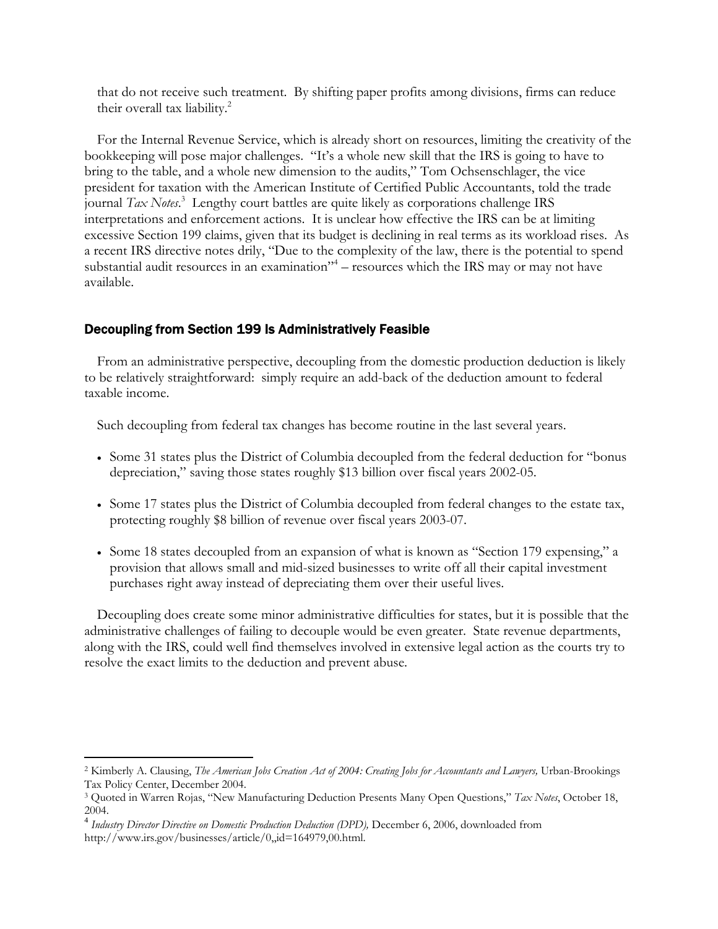that do not receive such treatment. By shifting paper profits among divisions, firms can reduce their overall tax liability.<sup>2</sup>

For the Internal Revenue Service, which is already short on resources, limiting the creativity of the bookkeeping will pose major challenges. "It's a whole new skill that the IRS is going to have to bring to the table, and a whole new dimension to the audits," Tom Ochsenschlager, the vice president for taxation with the American Institute of Certified Public Accountants, told the trade journal *Tax Notes*. 3 Lengthy court battles are quite likely as corporations challenge IRS interpretations and enforcement actions. It is unclear how effective the IRS can be at limiting excessive Section 199 claims, given that its budget is declining in real terms as its workload rises. As a recent IRS directive notes drily, "Due to the complexity of the law, there is the potential to spend substantial audit resources in an examination"<sup>4</sup> – resources which the IRS may or may not have available.

# Decoupling from Section 199 Is Administratively Feasible

From an administrative perspective, decoupling from the domestic production deduction is likely to be relatively straightforward: simply require an add-back of the deduction amount to federal taxable income.

Such decoupling from federal tax changes has become routine in the last several years.

- Some 31 states plus the District of Columbia decoupled from the federal deduction for "bonus depreciation," saving those states roughly \$13 billion over fiscal years 2002-05.
- Some 17 states plus the District of Columbia decoupled from federal changes to the estate tax, protecting roughly \$8 billion of revenue over fiscal years 2003-07.
- Some 18 states decoupled from an expansion of what is known as "Section 179 expensing," a provision that allows small and mid-sized businesses to write off all their capital investment purchases right away instead of depreciating them over their useful lives.

Decoupling does create some minor administrative difficulties for states, but it is possible that the administrative challenges of failing to decouple would be even greater. State revenue departments, along with the IRS, could well find themselves involved in extensive legal action as the courts try to resolve the exact limits to the deduction and prevent abuse.

 $\overline{a}$ 

<sup>2</sup> Kimberly A. Clausing, *The American Jobs Creation Act of 2004: Creating Jobs for Accountants and Lawyers,* Urban-Brookings Tax Policy Center, December 2004.

<sup>3</sup> Quoted in Warren Rojas, "New Manufacturing Deduction Presents Many Open Questions," *Tax Notes*, October 18, 2004.

<sup>4</sup> *Industry Director Directive on Domestic Production Deduction (DPD),* December 6, 2006, downloaded from http://www.irs.gov/businesses/article/0,,id=164979,00.html.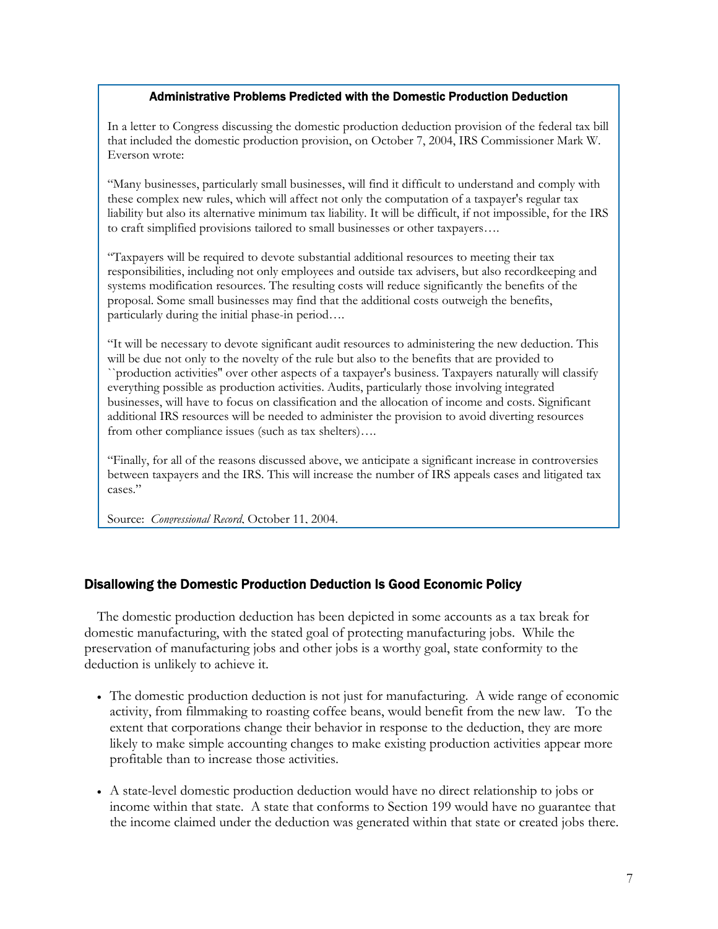#### Administrative Problems Predicted with the Domestic Production Deduction

In a letter to Congress discussing the domestic production deduction provision of the federal tax bill that included the domestic production provision, on October 7, 2004, IRS Commissioner Mark W. Everson wrote:

"Many businesses, particularly small businesses, will find it difficult to understand and comply with these complex new rules, which will affect not only the computation of a taxpayer's regular tax liability but also its alternative minimum tax liability. It will be difficult, if not impossible, for the IRS to craft simplified provisions tailored to small businesses or other taxpayers….

"Taxpayers will be required to devote substantial additional resources to meeting their tax responsibilities, including not only employees and outside tax advisers, but also recordkeeping and systems modification resources. The resulting costs will reduce significantly the benefits of the proposal. Some small businesses may find that the additional costs outweigh the benefits, particularly during the initial phase-in period….

"It will be necessary to devote significant audit resources to administering the new deduction. This will be due not only to the novelty of the rule but also to the benefits that are provided to ``production activities'' over other aspects of a taxpayer's business. Taxpayers naturally will classify everything possible as production activities. Audits, particularly those involving integrated businesses, will have to focus on classification and the allocation of income and costs. Significant additional IRS resources will be needed to administer the provision to avoid diverting resources from other compliance issues (such as tax shelters)….

"Finally, for all of the reasons discussed above, we anticipate a significant increase in controversies between taxpayers and the IRS. This will increase the number of IRS appeals cases and litigated tax cases."

Source: *Congressional Record*, October 11, 2004.

#### Disallowing the Domestic Production Deduction Is Good Economic Policy

The domestic production deduction has been depicted in some accounts as a tax break for domestic manufacturing, with the stated goal of protecting manufacturing jobs. While the preservation of manufacturing jobs and other jobs is a worthy goal, state conformity to the deduction is unlikely to achieve it.

- The domestic production deduction is not just for manufacturing. A wide range of economic activity, from filmmaking to roasting coffee beans, would benefit from the new law. To the extent that corporations change their behavior in response to the deduction, they are more likely to make simple accounting changes to make existing production activities appear more profitable than to increase those activities.
- A state-level domestic production deduction would have no direct relationship to jobs or income within that state. A state that conforms to Section 199 would have no guarantee that the income claimed under the deduction was generated within that state or created jobs there.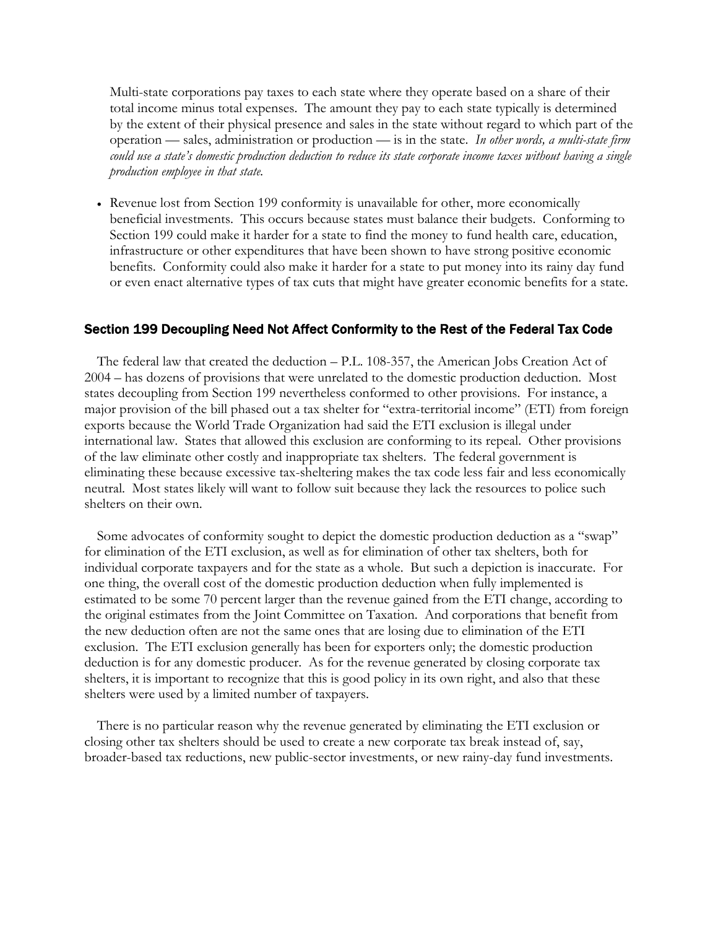Multi-state corporations pay taxes to each state where they operate based on a share of their total income minus total expenses. The amount they pay to each state typically is determined by the extent of their physical presence and sales in the state without regard to which part of the operation — sales, administration or production — is in the state. *In other words, a multi-state firm could use a state's domestic production deduction to reduce its state corporate income taxes without having a single production employee in that state.* 

• Revenue lost from Section 199 conformity is unavailable for other, more economically beneficial investments. This occurs because states must balance their budgets. Conforming to Section 199 could make it harder for a state to find the money to fund health care, education, infrastructure or other expenditures that have been shown to have strong positive economic benefits. Conformity could also make it harder for a state to put money into its rainy day fund or even enact alternative types of tax cuts that might have greater economic benefits for a state.

#### Section 199 Decoupling Need Not Affect Conformity to the Rest of the Federal Tax Code

The federal law that created the deduction – P.L. 108-357, the American Jobs Creation Act of 2004 – has dozens of provisions that were unrelated to the domestic production deduction. Most states decoupling from Section 199 nevertheless conformed to other provisions. For instance, a major provision of the bill phased out a tax shelter for "extra-territorial income" (ETI) from foreign exports because the World Trade Organization had said the ETI exclusion is illegal under international law. States that allowed this exclusion are conforming to its repeal. Other provisions of the law eliminate other costly and inappropriate tax shelters. The federal government is eliminating these because excessive tax-sheltering makes the tax code less fair and less economically neutral. Most states likely will want to follow suit because they lack the resources to police such shelters on their own.

Some advocates of conformity sought to depict the domestic production deduction as a "swap" for elimination of the ETI exclusion, as well as for elimination of other tax shelters, both for individual corporate taxpayers and for the state as a whole. But such a depiction is inaccurate. For one thing, the overall cost of the domestic production deduction when fully implemented is estimated to be some 70 percent larger than the revenue gained from the ETI change, according to the original estimates from the Joint Committee on Taxation. And corporations that benefit from the new deduction often are not the same ones that are losing due to elimination of the ETI exclusion. The ETI exclusion generally has been for exporters only; the domestic production deduction is for any domestic producer. As for the revenue generated by closing corporate tax shelters, it is important to recognize that this is good policy in its own right, and also that these shelters were used by a limited number of taxpayers.

There is no particular reason why the revenue generated by eliminating the ETI exclusion or closing other tax shelters should be used to create a new corporate tax break instead of, say, broader-based tax reductions, new public-sector investments, or new rainy-day fund investments.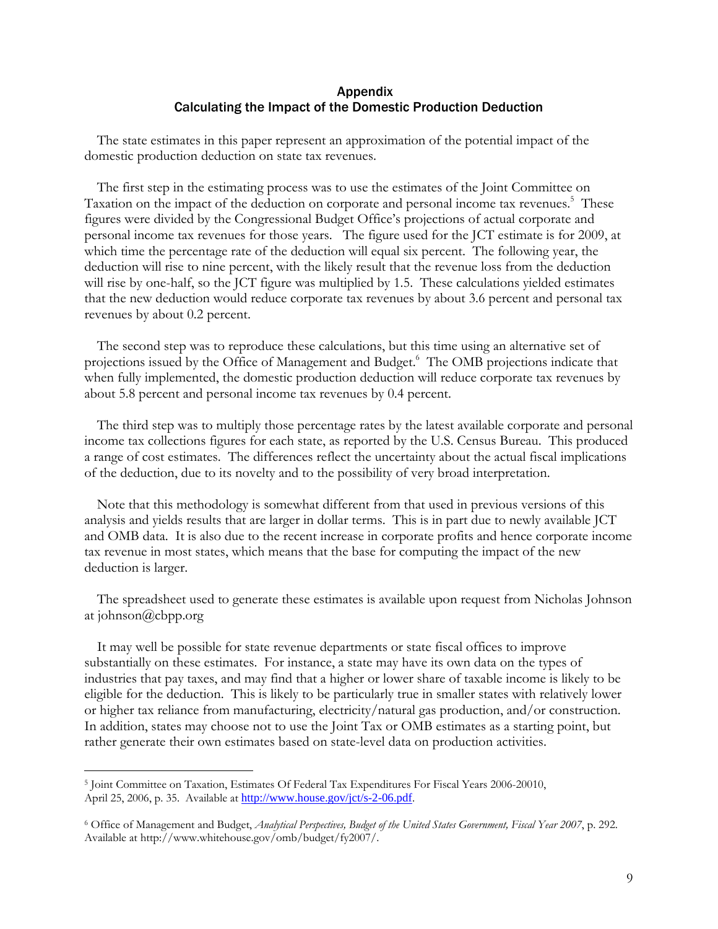## Appendix Calculating the Impact of the Domestic Production Deduction

The state estimates in this paper represent an approximation of the potential impact of the domestic production deduction on state tax revenues.

 The first step in the estimating process was to use the estimates of the Joint Committee on Taxation on the impact of the deduction on corporate and personal income tax revenues.<sup>5</sup> These figures were divided by the Congressional Budget Office's projections of actual corporate and personal income tax revenues for those years. The figure used for the JCT estimate is for 2009, at which time the percentage rate of the deduction will equal six percent. The following year, the deduction will rise to nine percent, with the likely result that the revenue loss from the deduction will rise by one-half, so the JCT figure was multiplied by 1.5. These calculations yielded estimates that the new deduction would reduce corporate tax revenues by about 3.6 percent and personal tax revenues by about 0.2 percent.

 The second step was to reproduce these calculations, but this time using an alternative set of projections issued by the Office of Management and Budget.<sup>6</sup> The OMB projections indicate that when fully implemented, the domestic production deduction will reduce corporate tax revenues by about 5.8 percent and personal income tax revenues by 0.4 percent.

 The third step was to multiply those percentage rates by the latest available corporate and personal income tax collections figures for each state, as reported by the U.S. Census Bureau. This produced a range of cost estimates. The differences reflect the uncertainty about the actual fiscal implications of the deduction, due to its novelty and to the possibility of very broad interpretation.

 Note that this methodology is somewhat different from that used in previous versions of this analysis and yields results that are larger in dollar terms. This is in part due to newly available JCT and OMB data. It is also due to the recent increase in corporate profits and hence corporate income tax revenue in most states, which means that the base for computing the impact of the new deduction is larger.

The spreadsheet used to generate these estimates is available upon request from Nicholas Johnson at johnson@cbpp.org

It may well be possible for state revenue departments or state fiscal offices to improve substantially on these estimates. For instance, a state may have its own data on the types of industries that pay taxes, and may find that a higher or lower share of taxable income is likely to be eligible for the deduction. This is likely to be particularly true in smaller states with relatively lower or higher tax reliance from manufacturing, electricity/natural gas production, and/or construction. In addition, states may choose not to use the Joint Tax or OMB estimates as a starting point, but rather generate their own estimates based on state-level data on production activities.

 $\overline{a}$ 

<sup>5</sup> Joint Committee on Taxation, Estimates Of Federal Tax Expenditures For Fiscal Years 2006-20010, April 25, 2006, p. 35. Available at http://www.house.gov/jct/s-2-06.pdf.

<sup>6</sup> Office of Management and Budget, *Analytical Perspectives, Budget of the United States Government, Fiscal Year 2007*, p. 292. Available at http://www.whitehouse.gov/omb/budget/fy2007/.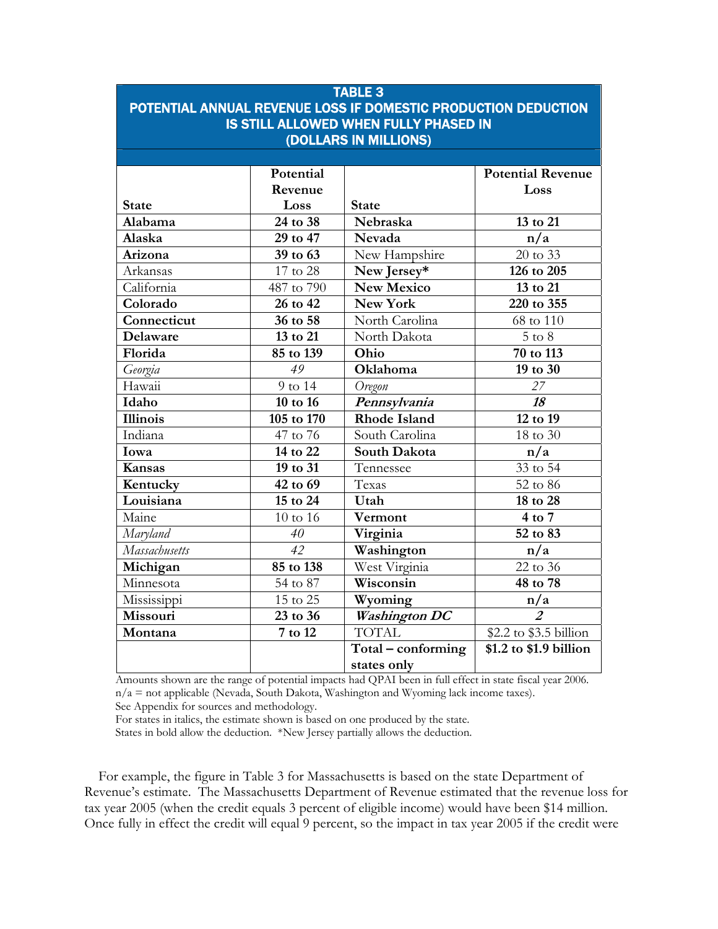# TABLE 3 POTENTIAL ANNUAL REVENUE LOSS IF DOMESTIC PRODUCTION DEDUCTION IS STILL ALLOWED WHEN FULLY PHASED IN (DOLLARS IN MILLIONS)

|                 | Potential  |                      | <b>Potential Revenue</b> |
|-----------------|------------|----------------------|--------------------------|
|                 |            |                      | Loss                     |
|                 | Revenue    |                      |                          |
| <b>State</b>    | Loss       | <b>State</b>         |                          |
| Alabama         | 24 to 38   | Nebraska             | 13 to $2\overline{1}$    |
| Alaska          | 29 to 47   | Nevada               | n/a                      |
| Arizona         | 39 to 63   | New Hampshire        | 20 to 33                 |
| Arkansas        | 17 to 28   | New Jersey*          | 126 to 205               |
| California      | 487 to 790 | <b>New Mexico</b>    | 13 to 21                 |
| Colorado        | 26 to 42   | <b>New York</b>      | 220 to 355               |
| Connecticut     | 36 to 58   | North Carolina       | 68 to 110                |
| Delaware        | 13 to 21   | North Dakota         | $5$ to $8$               |
| Florida         | 85 to 139  | Ohio                 | 70 to 113                |
| Georgia         | 49         | Oklahoma             | 19 to 30                 |
| Hawaii          | 9 to 14    | Oregon               | 27                       |
| Idaho           | 10 to 16   | Pennsylvania         | 18                       |
| <b>Illinois</b> | 105 to 170 | <b>Rhode Island</b>  | 12 to 19                 |
| Indiana         | 47 to 76   | South Carolina       | 18 to 30                 |
| Iowa            | 14 to 22   | South Dakota         | n/a                      |
| <b>Kansas</b>   | 19 to 31   | Tennessee            | 33 to $5\overline{4}$    |
| Kentucky        | 42 to 69   | Texas                | 52 to 86                 |
| Louisiana       | 15 to 24   | Utah                 | 18 to 28                 |
| Maine           | 10 to 16   | Vermont              | $4$ to $7$               |
| Maryland        | 40         | Virginia             | 52 to 83                 |
| Massachusetts   | 42         | Washington           | n/a                      |
| Michigan        | 85 to 138  | West Virginia        | 22 to 36                 |
| Minnesota       | 54 to 87   | Wisconsin            | 48 to 78                 |
| Mississippi     | 15 to 25   | Wyoming              | n/a                      |
| Missouri        | 23 to 36   | <b>Washington DC</b> | $\overline{2}$           |
| Montana         | 7 to 12    | <b>TOTAL</b>         | \$2.2 to \$3.5 billion   |
|                 |            | Total - conforming   | \$1.2 to \$1.9 billion   |
|                 |            | states only          |                          |

Amounts shown are the range of potential impacts had QPAI been in full effect in state fiscal year 2006.  $n/a$  = not applicable (Nevada, South Dakota, Washington and Wyoming lack income taxes). See Appendix for sources and methodology.

For states in italics, the estimate shown is based on one produced by the state.

States in bold allow the deduction. \*New Jersey partially allows the deduction.

 For example, the figure in Table 3 for Massachusetts is based on the state Department of Revenue's estimate. The Massachusetts Department of Revenue estimated that the revenue loss for tax year 2005 (when the credit equals 3 percent of eligible income) would have been \$14 million. Once fully in effect the credit will equal 9 percent, so the impact in tax year 2005 if the credit were